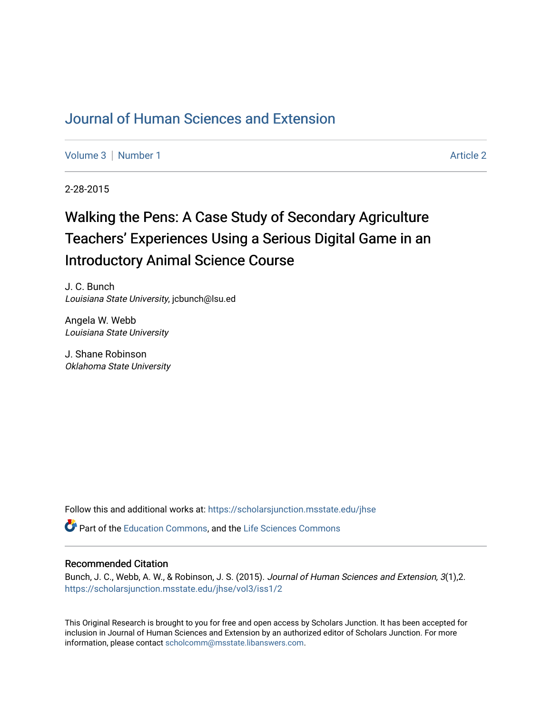# [Journal of Human Sciences and Extension](https://scholarsjunction.msstate.edu/jhse)

[Volume 3](https://scholarsjunction.msstate.edu/jhse/vol3) | [Number 1](https://scholarsjunction.msstate.edu/jhse/vol3/iss1) Article 2

2-28-2015

# Walking the Pens: A Case Study of Secondary Agriculture Teachers' Experiences Using a Serious Digital Game in an Introductory Animal Science Course

J. C. Bunch Louisiana State University, jcbunch@lsu.ed

Angela W. Webb Louisiana State University

J. Shane Robinson Oklahoma State University

Follow this and additional works at: [https://scholarsjunction.msstate.edu/jhse](https://scholarsjunction.msstate.edu/jhse?utm_source=scholarsjunction.msstate.edu%2Fjhse%2Fvol3%2Fiss1%2F2&utm_medium=PDF&utm_campaign=PDFCoverPages)

Part of the [Education Commons](http://network.bepress.com/hgg/discipline/784?utm_source=scholarsjunction.msstate.edu%2Fjhse%2Fvol3%2Fiss1%2F2&utm_medium=PDF&utm_campaign=PDFCoverPages), and the [Life Sciences Commons](http://network.bepress.com/hgg/discipline/1016?utm_source=scholarsjunction.msstate.edu%2Fjhse%2Fvol3%2Fiss1%2F2&utm_medium=PDF&utm_campaign=PDFCoverPages) 

#### Recommended Citation

Bunch, J. C., Webb, A. W., & Robinson, J. S. (2015). Journal of Human Sciences and Extension, 3(1), 2. [https://scholarsjunction.msstate.edu/jhse/vol3/iss1/2](https://scholarsjunction.msstate.edu/jhse/vol3/iss1/2?utm_source=scholarsjunction.msstate.edu%2Fjhse%2Fvol3%2Fiss1%2F2&utm_medium=PDF&utm_campaign=PDFCoverPages)

This Original Research is brought to you for free and open access by Scholars Junction. It has been accepted for inclusion in Journal of Human Sciences and Extension by an authorized editor of Scholars Junction. For more information, please contact [scholcomm@msstate.libanswers.com](mailto:scholcomm@msstate.libanswers.com).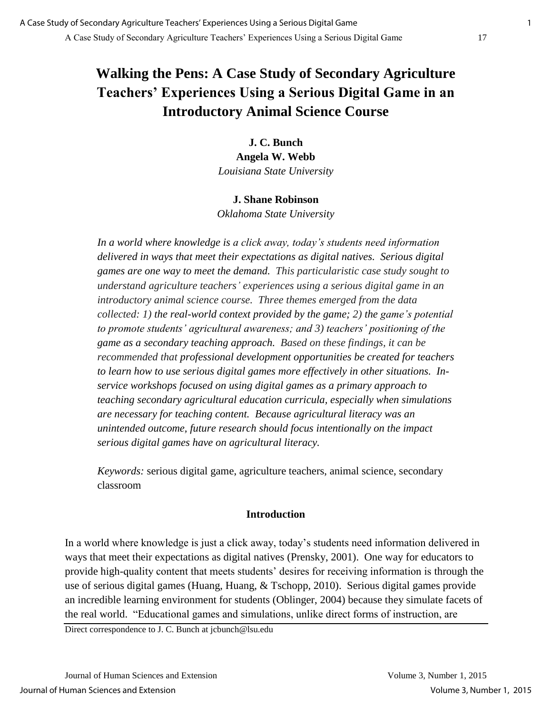# **Walking the Pens: A Case Study of Secondary Agriculture Teachers' Experiences Using a Serious Digital Game in an Introductory Animal Science Course**

# **J. C. Bunch Angela W. Webb**  *Louisiana State University*

#### **J. Shane Robinson**

*Oklahoma State University* 

*In a world where knowledge is a click away, today's students need information delivered in ways that meet their expectations as digital natives. Serious digital games are one way to meet the demand. This particularistic case study sought to understand agriculture teachers' experiences using a serious digital game in an introductory animal science course. Three themes emerged from the data collected: 1) the real-world context provided by the game; 2) the game's potential to promote students' agricultural awareness; and 3) teachers' positioning of the game as a secondary teaching approach. Based on these findings, it can be recommended that professional development opportunities be created for teachers to learn how to use serious digital games more effectively in other situations. Inservice workshops focused on using digital games as a primary approach to teaching secondary agricultural education curricula, especially when simulations are necessary for teaching content. Because agricultural literacy was an unintended outcome, future research should focus intentionally on the impact serious digital games have on agricultural literacy.* 

*Keywords:* serious digital game, agriculture teachers, animal science, secondary classroom

### **Introduction**

In a world where knowledge is just a click away, today's students need information delivered in ways that meet their expectations as digital natives (Prensky, 2001). One way for educators to provide high-quality content that meets students' desires for receiving information is through the use of serious digital games (Huang, Huang, & Tschopp, 2010). Serious digital games provide an incredible learning environment for students (Oblinger, 2004) because they simulate facets of the real world. "Educational games and simulations, unlike direct forms of instruction, are

Direct correspondence to J. C. Bunch at jcbunch@lsu.edu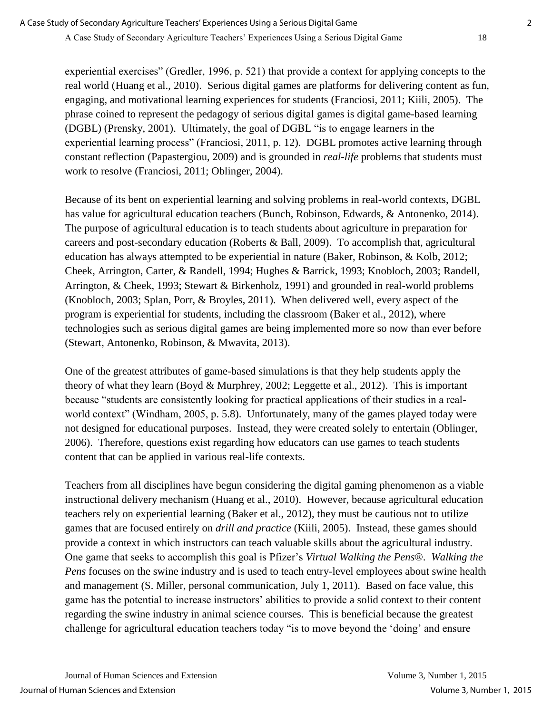experiential exercises" (Gredler, 1996, p. 521) that provide a context for applying concepts to the real world (Huang et al., 2010). Serious digital games are platforms for delivering content as fun, engaging, and motivational learning experiences for students (Franciosi, 2011; Kiili, 2005). The phrase coined to represent the pedagogy of serious digital games is digital game-based learning (DGBL) (Prensky, 2001). Ultimately, the goal of DGBL "is to engage learners in the experiential learning process" (Franciosi, 2011, p. 12). DGBL promotes active learning through constant reflection (Papastergiou, 2009) and is grounded in *real-life* problems that students must work to resolve (Franciosi, 2011; Oblinger, 2004).

Because of its bent on experiential learning and solving problems in real-world contexts, DGBL has value for agricultural education teachers (Bunch, Robinson, Edwards, & Antonenko, 2014). The purpose of agricultural education is to teach students about agriculture in preparation for careers and post-secondary education (Roberts & Ball, 2009). To accomplish that, agricultural education has always attempted to be experiential in nature (Baker, Robinson, & Kolb, 2012; Cheek, Arrington, Carter, & Randell, 1994; Hughes & Barrick, 1993; Knobloch, 2003; Randell, Arrington, & Cheek, 1993; Stewart & Birkenholz, 1991) and grounded in real-world problems (Knobloch, 2003; Splan, Porr, & Broyles, 2011). When delivered well, every aspect of the program is experiential for students, including the classroom (Baker et al., 2012), where technologies such as serious digital games are being implemented more so now than ever before (Stewart, Antonenko, Robinson, & Mwavita, 2013).

One of the greatest attributes of game-based simulations is that they help students apply the theory of what they learn (Boyd & Murphrey, 2002; Leggette et al., 2012). This is important because "students are consistently looking for practical applications of their studies in a realworld context" (Windham, 2005, p. 5.8). Unfortunately, many of the games played today were not designed for educational purposes. Instead, they were created solely to entertain (Oblinger, 2006). Therefore, questions exist regarding how educators can use games to teach students content that can be applied in various real-life contexts.

Teachers from all disciplines have begun considering the digital gaming phenomenon as a viable instructional delivery mechanism (Huang et al., 2010). However, because agricultural education teachers rely on experiential learning (Baker et al., 2012), they must be cautious not to utilize games that are focused entirely on *drill and practice* (Kiili, 2005). Instead, these games should provide a context in which instructors can teach valuable skills about the agricultural industry. One game that seeks to accomplish this goal is Pfizer's *Virtual Walking the Pens*®. *Walking the Pens* focuses on the swine industry and is used to teach entry-level employees about swine health and management (S. Miller, personal communication, July 1, 2011). Based on face value, this game has the potential to increase instructors' abilities to provide a solid context to their content regarding the swine industry in animal science courses. This is beneficial because the greatest challenge for agricultural education teachers today "is to move beyond the 'doing' and ensure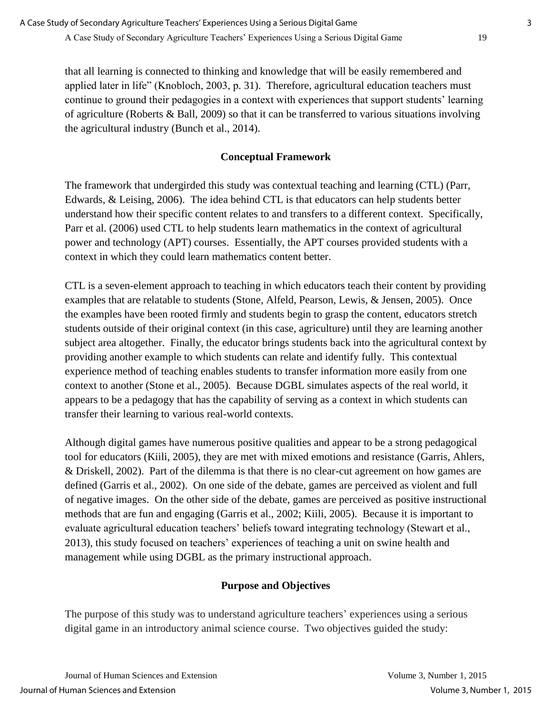that all learning is connected to thinking and knowledge that will be easily remembered and applied later in life" (Knobloch, 2003, p. 31). Therefore, agricultural education teachers must continue to ground their pedagogies in a context with experiences that support students' learning of agriculture (Roberts & Ball, 2009) so that it can be transferred to various situations involving the agricultural industry (Bunch et al., 2014).

# **Conceptual Framework**

The framework that undergirded this study was contextual teaching and learning (CTL) (Parr, Edwards, & Leising, 2006). The idea behind CTL is that educators can help students better understand how their specific content relates to and transfers to a different context. Specifically, Parr et al. (2006) used CTL to help students learn mathematics in the context of agricultural power and technology (APT) courses. Essentially, the APT courses provided students with a context in which they could learn mathematics content better.

CTL is a seven-element approach to teaching in which educators teach their content by providing examples that are relatable to students (Stone, Alfeld, Pearson, Lewis, & Jensen, 2005). Once the examples have been rooted firmly and students begin to grasp the content, educators stretch students outside of their original context (in this case, agriculture) until they are learning another subject area altogether. Finally, the educator brings students back into the agricultural context by providing another example to which students can relate and identify fully. This contextual experience method of teaching enables students to transfer information more easily from one context to another (Stone et al., 2005). Because DGBL simulates aspects of the real world, it appears to be a pedagogy that has the capability of serving as a context in which students can transfer their learning to various real-world contexts.

Although digital games have numerous positive qualities and appear to be a strong pedagogical tool for educators (Kiili, 2005), they are met with mixed emotions and resistance (Garris, Ahlers, & Driskell, 2002). Part of the dilemma is that there is no clear-cut agreement on how games are defined (Garris et al., 2002). On one side of the debate, games are perceived as violent and full of negative images. On the other side of the debate, games are perceived as positive instructional methods that are fun and engaging (Garris et al., 2002; Kiili, 2005). Because it is important to evaluate agricultural education teachers' beliefs toward integrating technology (Stewart et al., 2013), this study focused on teachers' experiences of teaching a unit on swine health and management while using DGBL as the primary instructional approach.

### **Purpose and Objectives**

The purpose of this study was to understand agriculture teachers' experiences using a serious digital game in an introductory animal science course. Two objectives guided the study:

Journal of Human Sciences and Extension Volume 3, Number 1, 2015 Journal of Human Sciences and Extension Volume 3, Number 1, 2015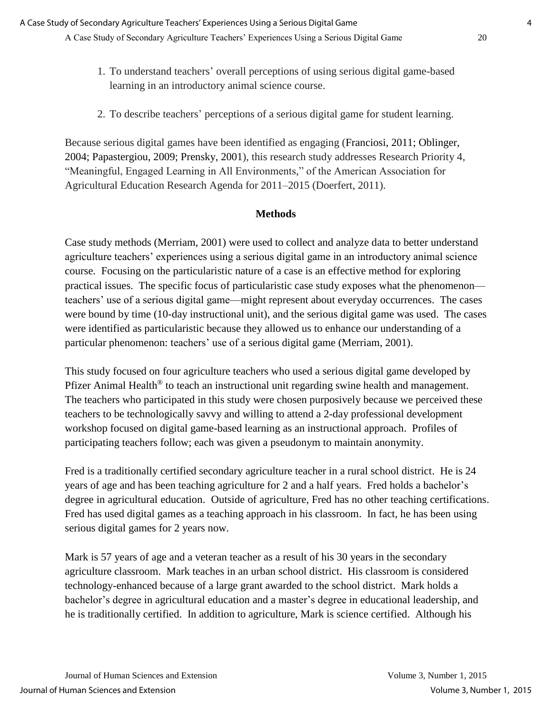A Case Study of Secondary Agriculture Teachers' Experiences Using a Serious Digital Game 20

- 1. To understand teachers' overall perceptions of using serious digital game-based learning in an introductory animal science course.
- 2. To describe teachers' perceptions of a serious digital game for student learning.

Because serious digital games have been identified as engaging (Franciosi, 2011; Oblinger, 2004; Papastergiou, 2009; Prensky, 2001), this research study addresses Research Priority 4, "Meaningful, Engaged Learning in All Environments," of the American Association for Agricultural Education Research Agenda for 2011–2015 (Doerfert, 2011).

#### **Methods**

Case study methods (Merriam, 2001) were used to collect and analyze data to better understand agriculture teachers' experiences using a serious digital game in an introductory animal science course. Focusing on the particularistic nature of a case is an effective method for exploring practical issues. The specific focus of particularistic case study exposes what the phenomenon teachers' use of a serious digital game—might represent about everyday occurrences. The cases were bound by time (10-day instructional unit), and the serious digital game was used. The cases were identified as particularistic because they allowed us to enhance our understanding of a particular phenomenon: teachers' use of a serious digital game (Merriam, 2001).

This study focused on four agriculture teachers who used a serious digital game developed by Pfizer Animal Health® to teach an instructional unit regarding swine health and management. The teachers who participated in this study were chosen purposively because we perceived these teachers to be technologically savvy and willing to attend a 2-day professional development workshop focused on digital game-based learning as an instructional approach. Profiles of participating teachers follow; each was given a pseudonym to maintain anonymity.

Fred is a traditionally certified secondary agriculture teacher in a rural school district. He is 24 years of age and has been teaching agriculture for 2 and a half years. Fred holds a bachelor's degree in agricultural education. Outside of agriculture, Fred has no other teaching certifications. Fred has used digital games as a teaching approach in his classroom. In fact, he has been using serious digital games for 2 years now.

Mark is 57 years of age and a veteran teacher as a result of his 30 years in the secondary agriculture classroom. Mark teaches in an urban school district. His classroom is considered technology-enhanced because of a large grant awarded to the school district. Mark holds a bachelor's degree in agricultural education and a master's degree in educational leadership, and he is traditionally certified. In addition to agriculture, Mark is science certified. Although his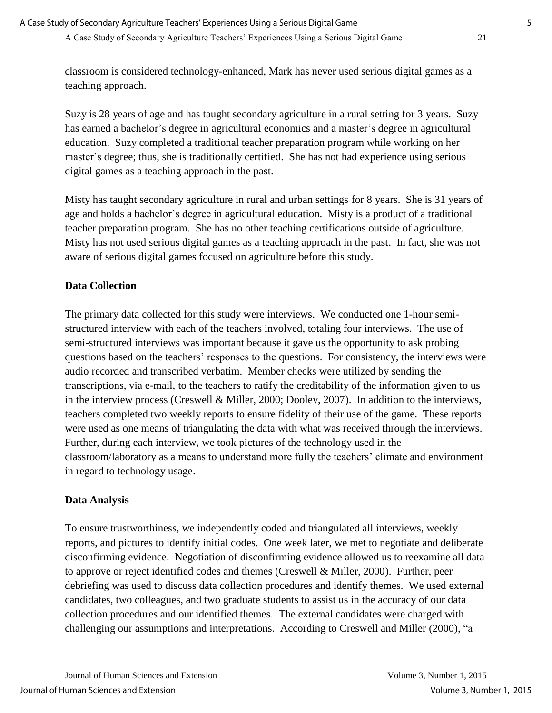A Case Study of Secondary Agriculture Teachers' Experiences Using a Serious Digital Game 21

classroom is considered technology-enhanced, Mark has never used serious digital games as a teaching approach.

Suzy is 28 years of age and has taught secondary agriculture in a rural setting for 3 years. Suzy has earned a bachelor's degree in agricultural economics and a master's degree in agricultural education. Suzy completed a traditional teacher preparation program while working on her master's degree; thus, she is traditionally certified. She has not had experience using serious digital games as a teaching approach in the past.

Misty has taught secondary agriculture in rural and urban settings for 8 years. She is 31 years of age and holds a bachelor's degree in agricultural education. Misty is a product of a traditional teacher preparation program. She has no other teaching certifications outside of agriculture. Misty has not used serious digital games as a teaching approach in the past. In fact, she was not aware of serious digital games focused on agriculture before this study.

#### **Data Collection**

The primary data collected for this study were interviews. We conducted one 1-hour semistructured interview with each of the teachers involved, totaling four interviews. The use of semi-structured interviews was important because it gave us the opportunity to ask probing questions based on the teachers' responses to the questions. For consistency, the interviews were audio recorded and transcribed verbatim. Member checks were utilized by sending the transcriptions, via e-mail, to the teachers to ratify the creditability of the information given to us in the interview process (Creswell & Miller, 2000; Dooley, 2007). In addition to the interviews, teachers completed two weekly reports to ensure fidelity of their use of the game. These reports were used as one means of triangulating the data with what was received through the interviews. Further, during each interview, we took pictures of the technology used in the classroom/laboratory as a means to understand more fully the teachers' climate and environment in regard to technology usage.

#### **Data Analysis**

To ensure trustworthiness, we independently coded and triangulated all interviews, weekly reports, and pictures to identify initial codes. One week later, we met to negotiate and deliberate disconfirming evidence. Negotiation of disconfirming evidence allowed us to reexamine all data to approve or reject identified codes and themes (Creswell & Miller, 2000). Further, peer debriefing was used to discuss data collection procedures and identify themes. We used external candidates, two colleagues, and two graduate students to assist us in the accuracy of our data collection procedures and our identified themes. The external candidates were charged with challenging our assumptions and interpretations. According to Creswell and Miller (2000), "a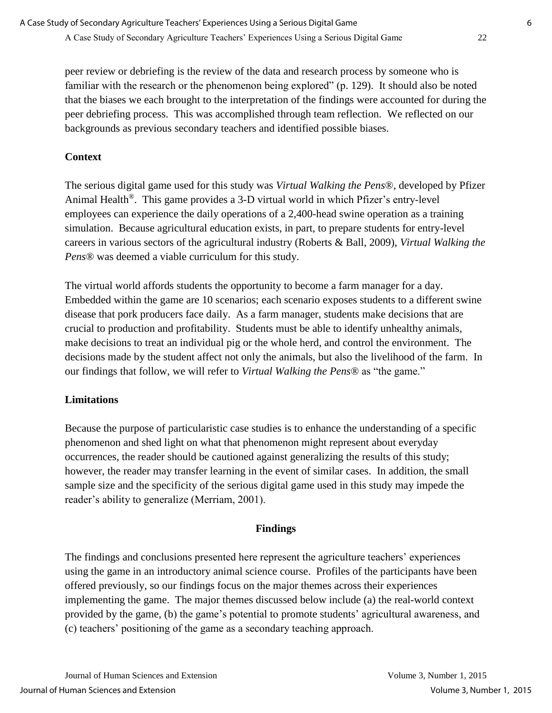peer review or debriefing is the review of the data and research process by someone who is familiar with the research or the phenomenon being explored" (p. 129). It should also be noted that the biases we each brought to the interpretation of the findings were accounted for during the peer debriefing process. This was accomplished through team reflection. We reflected on our backgrounds as previous secondary teachers and identified possible biases.

# **Context**

The serious digital game used for this study was *Virtual Walking the Pens*®, developed by Pfizer Animal Health®. This game provides a 3-D virtual world in which Pfizer's entry-level employees can experience the daily operations of a 2,400-head swine operation as a training simulation. Because agricultural education exists, in part, to prepare students for entry-level careers in various sectors of the agricultural industry (Roberts & Ball, 2009), *Virtual Walking the Pens*® was deemed a viable curriculum for this study.

The virtual world affords students the opportunity to become a farm manager for a day. Embedded within the game are 10 scenarios; each scenario exposes students to a different swine disease that pork producers face daily. As a farm manager, students make decisions that are crucial to production and profitability. Students must be able to identify unhealthy animals, make decisions to treat an individual pig or the whole herd, and control the environment. The decisions made by the student affect not only the animals, but also the livelihood of the farm. In our findings that follow, we will refer to *Virtual Walking the Pens*® as "the game."

# **Limitations**

Because the purpose of particularistic case studies is to enhance the understanding of a specific phenomenon and shed light on what that phenomenon might represent about everyday occurrences, the reader should be cautioned against generalizing the results of this study; however, the reader may transfer learning in the event of similar cases. In addition, the small sample size and the specificity of the serious digital game used in this study may impede the reader's ability to generalize (Merriam, 2001).

# **Findings**

The findings and conclusions presented here represent the agriculture teachers' experiences using the game in an introductory animal science course. Profiles of the participants have been offered previously, so our findings focus on the major themes across their experiences implementing the game. The major themes discussed below include (a) the real-world context provided by the game, (b) the game's potential to promote students' agricultural awareness, and (c) teachers' positioning of the game as a secondary teaching approach.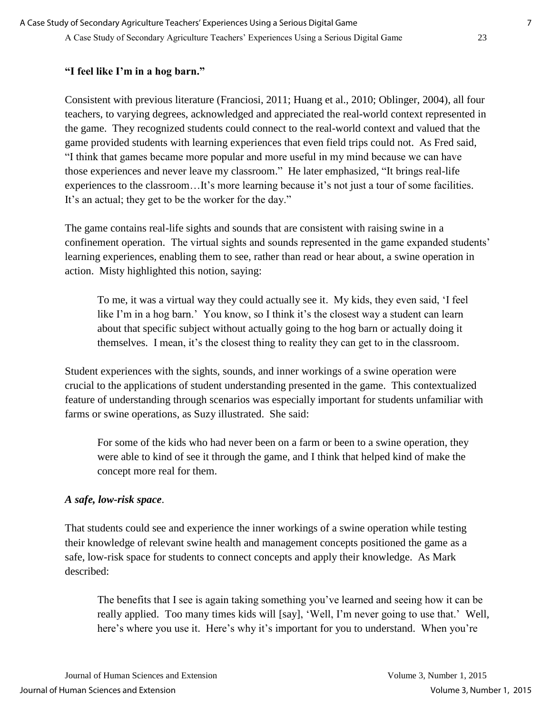A Case Study of Secondary Agriculture Teachers' Experiences Using a Serious Digital Game 23

## **"I feel like I'm in a hog barn."**

Consistent with previous literature (Franciosi, 2011; Huang et al., 2010; Oblinger, 2004), all four teachers, to varying degrees, acknowledged and appreciated the real-world context represented in the game. They recognized students could connect to the real-world context and valued that the game provided students with learning experiences that even field trips could not. As Fred said, "I think that games became more popular and more useful in my mind because we can have those experiences and never leave my classroom." He later emphasized, "It brings real-life experiences to the classroom…It's more learning because it's not just a tour of some facilities. It's an actual; they get to be the worker for the day."

The game contains real-life sights and sounds that are consistent with raising swine in a confinement operation. The virtual sights and sounds represented in the game expanded students' learning experiences, enabling them to see, rather than read or hear about, a swine operation in action. Misty highlighted this notion, saying:

To me, it was a virtual way they could actually see it. My kids, they even said, 'I feel like I'm in a hog barn.' You know, so I think it's the closest way a student can learn about that specific subject without actually going to the hog barn or actually doing it themselves. I mean, it's the closest thing to reality they can get to in the classroom.

Student experiences with the sights, sounds, and inner workings of a swine operation were crucial to the applications of student understanding presented in the game. This contextualized feature of understanding through scenarios was especially important for students unfamiliar with farms or swine operations, as Suzy illustrated. She said:

For some of the kids who had never been on a farm or been to a swine operation, they were able to kind of see it through the game, and I think that helped kind of make the concept more real for them.

### *A safe, low-risk space*.

That students could see and experience the inner workings of a swine operation while testing their knowledge of relevant swine health and management concepts positioned the game as a safe, low-risk space for students to connect concepts and apply their knowledge. As Mark described:

The benefits that I see is again taking something you've learned and seeing how it can be really applied. Too many times kids will [say], 'Well, I'm never going to use that.' Well, here's where you use it. Here's why it's important for you to understand. When you're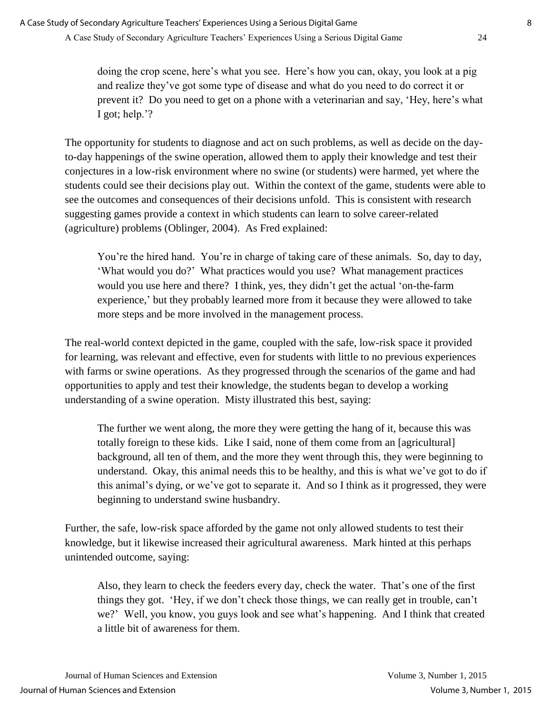doing the crop scene, here's what you see. Here's how you can, okay, you look at a pig and realize they've got some type of disease and what do you need to do correct it or prevent it? Do you need to get on a phone with a veterinarian and say, 'Hey, here's what I got; help.'?

The opportunity for students to diagnose and act on such problems, as well as decide on the dayto-day happenings of the swine operation, allowed them to apply their knowledge and test their conjectures in a low-risk environment where no swine (or students) were harmed, yet where the students could see their decisions play out. Within the context of the game, students were able to see the outcomes and consequences of their decisions unfold. This is consistent with research suggesting games provide a context in which students can learn to solve career-related (agriculture) problems (Oblinger, 2004). As Fred explained:

You're the hired hand. You're in charge of taking care of these animals. So, day to day, 'What would you do?' What practices would you use? What management practices would you use here and there? I think, yes, they didn't get the actual 'on-the-farm experience,' but they probably learned more from it because they were allowed to take more steps and be more involved in the management process.

The real-world context depicted in the game, coupled with the safe, low-risk space it provided for learning, was relevant and effective, even for students with little to no previous experiences with farms or swine operations. As they progressed through the scenarios of the game and had opportunities to apply and test their knowledge, the students began to develop a working understanding of a swine operation. Misty illustrated this best, saying:

The further we went along, the more they were getting the hang of it, because this was totally foreign to these kids. Like I said, none of them come from an [agricultural] background, all ten of them, and the more they went through this, they were beginning to understand. Okay, this animal needs this to be healthy, and this is what we've got to do if this animal's dying, or we've got to separate it. And so I think as it progressed, they were beginning to understand swine husbandry.

Further, the safe, low-risk space afforded by the game not only allowed students to test their knowledge, but it likewise increased their agricultural awareness. Mark hinted at this perhaps unintended outcome, saying:

Also, they learn to check the feeders every day, check the water. That's one of the first things they got. 'Hey, if we don't check those things, we can really get in trouble, can't we?' Well, you know, you guys look and see what's happening. And I think that created a little bit of awareness for them.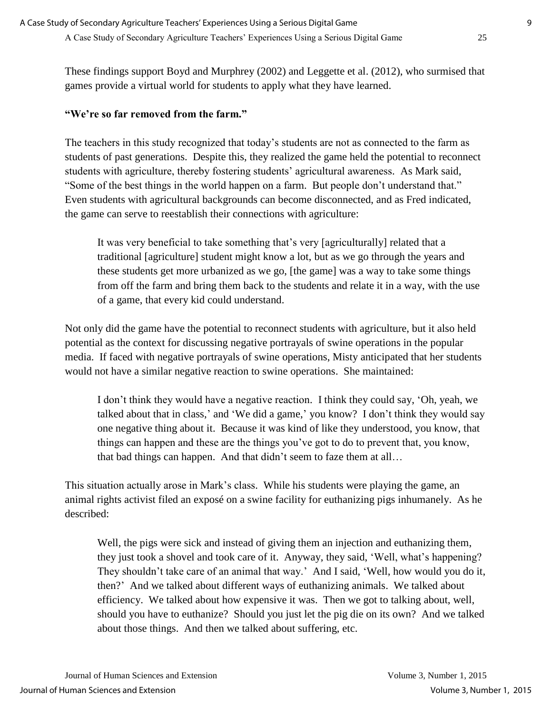These findings support Boyd and Murphrey (2002) and Leggette et al. (2012), who surmised that games provide a virtual world for students to apply what they have learned.

## **"We're so far removed from the farm."**

The teachers in this study recognized that today's students are not as connected to the farm as students of past generations. Despite this, they realized the game held the potential to reconnect students with agriculture, thereby fostering students' agricultural awareness. As Mark said, "Some of the best things in the world happen on a farm. But people don't understand that." Even students with agricultural backgrounds can become disconnected, and as Fred indicated, the game can serve to reestablish their connections with agriculture:

It was very beneficial to take something that's very [agriculturally] related that a traditional [agriculture] student might know a lot, but as we go through the years and these students get more urbanized as we go, [the game] was a way to take some things from off the farm and bring them back to the students and relate it in a way, with the use of a game, that every kid could understand.

Not only did the game have the potential to reconnect students with agriculture, but it also held potential as the context for discussing negative portrayals of swine operations in the popular media. If faced with negative portrayals of swine operations, Misty anticipated that her students would not have a similar negative reaction to swine operations. She maintained:

I don't think they would have a negative reaction. I think they could say, 'Oh, yeah, we talked about that in class,' and 'We did a game,' you know? I don't think they would say one negative thing about it. Because it was kind of like they understood, you know, that things can happen and these are the things you've got to do to prevent that, you know, that bad things can happen. And that didn't seem to faze them at all…

This situation actually arose in Mark's class. While his students were playing the game, an animal rights activist filed an exposé on a swine facility for euthanizing pigs inhumanely. As he described:

Well, the pigs were sick and instead of giving them an injection and euthanizing them, they just took a shovel and took care of it. Anyway, they said, 'Well, what's happening? They shouldn't take care of an animal that way.' And I said, 'Well, how would you do it, then?' And we talked about different ways of euthanizing animals. We talked about efficiency. We talked about how expensive it was. Then we got to talking about, well, should you have to euthanize? Should you just let the pig die on its own? And we talked about those things. And then we talked about suffering, etc.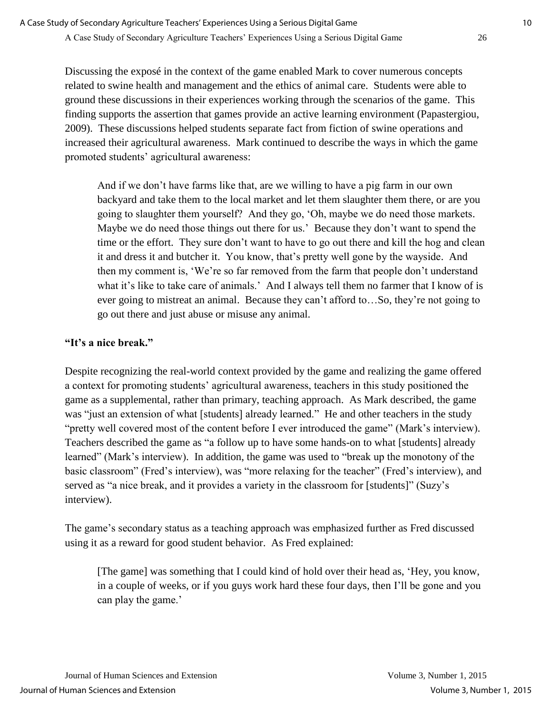Discussing the exposé in the context of the game enabled Mark to cover numerous concepts related to swine health and management and the ethics of animal care. Students were able to ground these discussions in their experiences working through the scenarios of the game. This finding supports the assertion that games provide an active learning environment (Papastergiou, 2009). These discussions helped students separate fact from fiction of swine operations and increased their agricultural awareness. Mark continued to describe the ways in which the game promoted students' agricultural awareness:

And if we don't have farms like that, are we willing to have a pig farm in our own backyard and take them to the local market and let them slaughter them there, or are you going to slaughter them yourself? And they go, 'Oh, maybe we do need those markets. Maybe we do need those things out there for us.' Because they don't want to spend the time or the effort. They sure don't want to have to go out there and kill the hog and clean it and dress it and butcher it. You know, that's pretty well gone by the wayside. And then my comment is, 'We're so far removed from the farm that people don't understand what it's like to take care of animals.' And I always tell them no farmer that I know of is ever going to mistreat an animal. Because they can't afford to…So, they're not going to go out there and just abuse or misuse any animal.

# **"It's a nice break."**

Despite recognizing the real-world context provided by the game and realizing the game offered a context for promoting students' agricultural awareness, teachers in this study positioned the game as a supplemental, rather than primary, teaching approach. As Mark described, the game was "just an extension of what [students] already learned." He and other teachers in the study "pretty well covered most of the content before I ever introduced the game" (Mark's interview). Teachers described the game as "a follow up to have some hands-on to what [students] already learned" (Mark's interview). In addition, the game was used to "break up the monotony of the basic classroom" (Fred's interview), was "more relaxing for the teacher" (Fred's interview), and served as "a nice break, and it provides a variety in the classroom for [students]" (Suzy's interview).

The game's secondary status as a teaching approach was emphasized further as Fred discussed using it as a reward for good student behavior. As Fred explained:

[The game] was something that I could kind of hold over their head as, 'Hey, you know, in a couple of weeks, or if you guys work hard these four days, then I'll be gone and you can play the game.'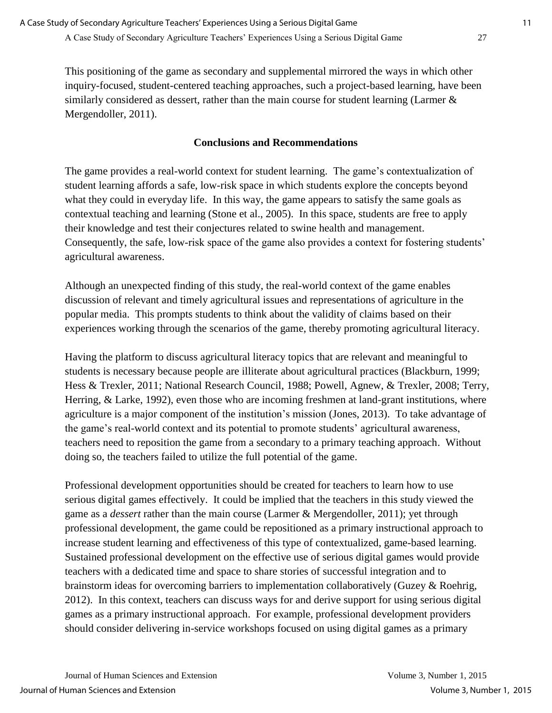This positioning of the game as secondary and supplemental mirrored the ways in which other inquiry-focused, student-centered teaching approaches, such a project-based learning, have been similarly considered as dessert, rather than the main course for student learning (Larmer & Mergendoller, 2011).

## **Conclusions and Recommendations**

The game provides a real-world context for student learning. The game's contextualization of student learning affords a safe, low-risk space in which students explore the concepts beyond what they could in everyday life. In this way, the game appears to satisfy the same goals as contextual teaching and learning (Stone et al., 2005). In this space, students are free to apply their knowledge and test their conjectures related to swine health and management. Consequently, the safe, low-risk space of the game also provides a context for fostering students' agricultural awareness.

Although an unexpected finding of this study, the real-world context of the game enables discussion of relevant and timely agricultural issues and representations of agriculture in the popular media. This prompts students to think about the validity of claims based on their experiences working through the scenarios of the game, thereby promoting agricultural literacy.

Having the platform to discuss agricultural literacy topics that are relevant and meaningful to students is necessary because people are illiterate about agricultural practices (Blackburn, 1999; Hess & Trexler, 2011; National Research Council, 1988; Powell, Agnew, & Trexler, 2008; Terry, Herring, & Larke, 1992), even those who are incoming freshmen at land-grant institutions, where agriculture is a major component of the institution's mission (Jones, 2013). To take advantage of the game's real-world context and its potential to promote students' agricultural awareness, teachers need to reposition the game from a secondary to a primary teaching approach. Without doing so, the teachers failed to utilize the full potential of the game.

Professional development opportunities should be created for teachers to learn how to use serious digital games effectively. It could be implied that the teachers in this study viewed the game as a *dessert* rather than the main course (Larmer & Mergendoller, 2011); yet through professional development, the game could be repositioned as a primary instructional approach to increase student learning and effectiveness of this type of contextualized, game-based learning. Sustained professional development on the effective use of serious digital games would provide teachers with a dedicated time and space to share stories of successful integration and to brainstorm ideas for overcoming barriers to implementation collaboratively (Guzey & Roehrig, 2012). In this context, teachers can discuss ways for and derive support for using serious digital games as a primary instructional approach. For example, professional development providers should consider delivering in-service workshops focused on using digital games as a primary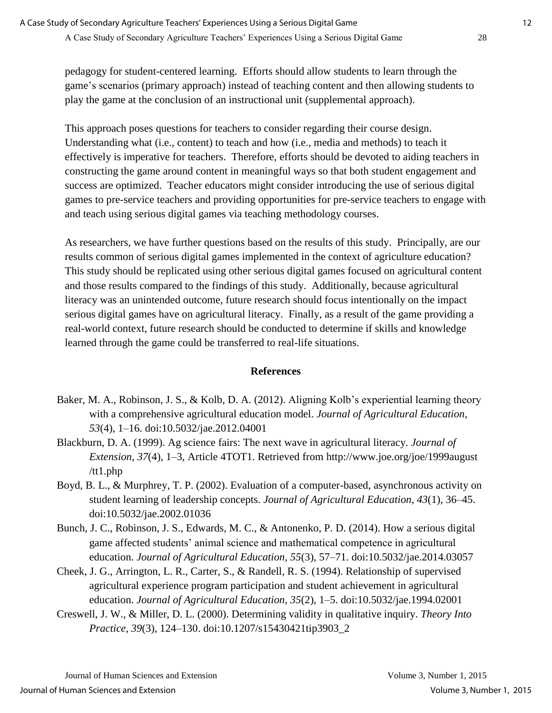pedagogy for student-centered learning. Efforts should allow students to learn through the game's scenarios (primary approach) instead of teaching content and then allowing students to play the game at the conclusion of an instructional unit (supplemental approach).

This approach poses questions for teachers to consider regarding their course design. Understanding what (i.e., content) to teach and how (i.e., media and methods) to teach it effectively is imperative for teachers. Therefore, efforts should be devoted to aiding teachers in constructing the game around content in meaningful ways so that both student engagement and success are optimized. Teacher educators might consider introducing the use of serious digital games to pre-service teachers and providing opportunities for pre-service teachers to engage with and teach using serious digital games via teaching methodology courses.

As researchers, we have further questions based on the results of this study. Principally, are our results common of serious digital games implemented in the context of agriculture education? This study should be replicated using other serious digital games focused on agricultural content and those results compared to the findings of this study. Additionally, because agricultural literacy was an unintended outcome, future research should focus intentionally on the impact serious digital games have on agricultural literacy. Finally, as a result of the game providing a real-world context, future research should be conducted to determine if skills and knowledge learned through the game could be transferred to real-life situations.

#### **References**

- Baker, M. A., Robinson, J. S., & Kolb, D. A. (2012). Aligning Kolb's experiential learning theory with a comprehensive agricultural education model. *Journal of Agricultural Education, 53*(4), 1–16. doi:10.5032/jae.2012.04001
- Blackburn, D. A. (1999). Ag science fairs: The next wave in agricultural literacy. *Journal of Extension, 37*(4), 1–3, Article 4TOT1. Retrieved from http://www.joe.org/joe/1999august /tt1.php
- Boyd, B. L., & Murphrey, T. P. (2002). Evaluation of a computer-based, asynchronous activity on student learning of leadership concepts. *Journal of Agricultural Education, 43*(1), 36–45. doi:10.5032/jae.2002.01036
- Bunch, J. C., Robinson, J. S., Edwards, M. C., & Antonenko, P. D. (2014). How a serious digital game affected students' animal science and mathematical competence in agricultural education. *Journal of Agricultural Education, 55*(3), 57–71. doi:10.5032/jae.2014.03057
- Cheek, J. G., Arrington, L. R., Carter, S., & Randell, R. S. (1994). Relationship of supervised agricultural experience program participation and student achievement in agricultural education. *Journal of Agricultural Education, 35*(2), 1–5. doi:10.5032/jae.1994.02001
- Creswell, J. W., & Miller, D. L. (2000). Determining validity in qualitative inquiry. *Theory Into Practice, 39*(3), 124–130. doi:10.1207/s15430421tip3903\_2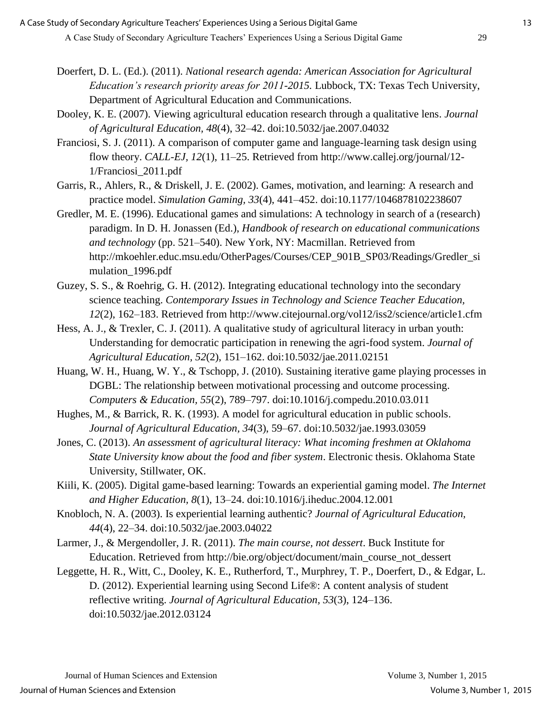- Doerfert, D. L. (Ed.). (2011). *National research agenda: American Association for Agricultural Education's research priority areas for 2011-2015.* Lubbock, TX: Texas Tech University, Department of Agricultural Education and Communications.
- Dooley, K. E. (2007). Viewing agricultural education research through a qualitative lens. *Journal of Agricultural Education, 48*(4), 32–42. doi:10.5032/jae.2007.04032
- Franciosi, S. J. (2011). A comparison of computer game and language-learning task design using flow theory. *CALL-EJ, 12*(1), 11–25. Retrieved from http://www.callej.org/journal/12- 1/Franciosi\_2011.pdf
- Garris, R., Ahlers, R., & Driskell, J. E. (2002). Games, motivation, and learning: A research and practice model. *Simulation Gaming, 33*(4), 441–452. doi:10.1177/1046878102238607
- Gredler, M. E. (1996). Educational games and simulations: A technology in search of a (research) paradigm. In D. H. Jonassen (Ed.), *Handbook of research on educational communications and technology* (pp. 521–540). New York, NY: Macmillan. Retrieved from http://mkoehler.educ.msu.edu/OtherPages/Courses/CEP\_901B\_SP03/Readings/Gredler\_si mulation\_1996.pdf
- Guzey, S. S., & Roehrig, G. H. (2012). Integrating educational technology into the secondary science teaching. *Contemporary Issues in Technology and Science Teacher Education, 12*(2), 162–183. Retrieved from http://www.citejournal.org/vol12/iss2/science/article1.cfm
- Hess, A. J., & Trexler, C. J. (2011). A qualitative study of agricultural literacy in urban youth: Understanding for democratic participation in renewing the agri-food system. *Journal of Agricultural Education, 52*(2), 151–162. doi:10.5032/jae.2011.02151
- Huang, W. H., Huang, W. Y., & Tschopp, J. (2010). Sustaining iterative game playing processes in DGBL: The relationship between motivational processing and outcome processing. *Computers & Education, 55*(2), 789–797. doi:10.1016/j.compedu.2010.03.011
- Hughes, M., & Barrick, R. K. (1993). A model for agricultural education in public schools. *Journal of Agricultural Education, 34*(3), 59–67. doi:10.5032/jae.1993.03059
- Jones, C. (2013). *An assessment of agricultural literacy: What incoming freshmen at Oklahoma State University know about the food and fiber system*. Electronic thesis. Oklahoma State University, Stillwater, OK.
- Kiili, K. (2005). Digital game-based learning: Towards an experiential gaming model. *The Internet and Higher Education, 8*(1), 13–24. doi:10.1016/j.iheduc.2004.12.001
- Knobloch, N. A. (2003). Is experiential learning authentic? *Journal of Agricultural Education, 44*(4), 22–34. doi:10.5032/jae.2003.04022
- Larmer, J., & Mergendoller, J. R. (2011). *The main course, not dessert*. Buck Institute for Education. Retrieved from http://bie.org/object/document/main\_course\_not\_dessert
- Leggette, H. R., Witt, C., Dooley, K. E., Rutherford, T., Murphrey, T. P., Doerfert, D., & Edgar, L. D. (2012). Experiential learning using Second Life®: A content analysis of student reflective writing. *Journal of Agricultural Education, 53*(3), 124–136. doi:10.5032/jae.2012.03124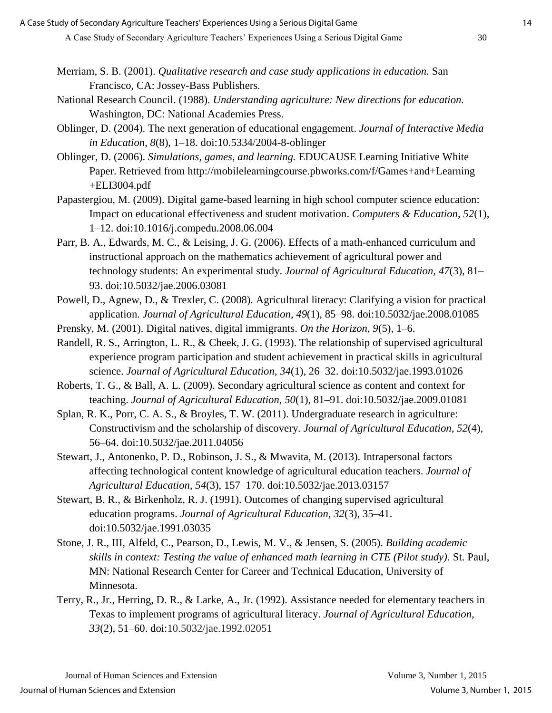- Merriam, S. B. (2001). *Qualitative research and case study applications in education.* San Francisco, CA: Jossey-Bass Publishers.
- National Research Council. (1988). *Understanding agriculture: New directions for education.*  Washington, DC: National Academies Press.
- Oblinger, D. (2004). The next generation of educational engagement. *Journal of Interactive Media in Education, 8*(8), 1–18. doi:10.5334/2004-8-oblinger
- Oblinger, D. (2006). *Simulations, games, and learning.* EDUCAUSE Learning Initiative White Paper. Retrieved from http://mobilelearningcourse.pbworks.com/f/Games+and+Learning +ELI3004.pdf
- Papastergiou, M. (2009). Digital game-based learning in high school computer science education: Impact on educational effectiveness and student motivation. *Computers & Education, 52*(1), 1–12. doi:10.1016/j.compedu.2008.06.004
- Parr, B. A., Edwards, M. C., & Leising, J. G. (2006). Effects of a math-enhanced curriculum and instructional approach on the mathematics achievement of agricultural power and technology students: An experimental study. *Journal of Agricultural Education, 47*(3), 81– 93. doi:10.5032/jae.2006.03081
- Powell, D., Agnew, D., & Trexler, C. (2008). Agricultural literacy: Clarifying a vision for practical application. *Journal of Agricultural Education, 49*(1), 85–98. doi:10.5032/jae.2008.01085
- Prensky, M. (2001). Digital natives, digital immigrants. *On the Horizon, 9*(5), 1–6.
- Randell, R. S., Arrington, L. R., & Cheek, J. G. (1993). The relationship of supervised agricultural experience program participation and student achievement in practical skills in agricultural science. *Journal of Agricultural Education, 34*(1), 26–32. doi:10.5032/jae.1993.01026
- Roberts, T. G., & Ball, A. L. (2009). Secondary agricultural science as content and context for teaching. *Journal of Agricultural Education, 50*(1), 81–91. doi:10.5032/jae.2009.01081
- Splan, R. K., Porr, C. A. S., & Broyles, T. W. (2011). Undergraduate research in agriculture: Constructivism and the scholarship of discovery. *Journal of Agricultural Education, 52*(4), 56–64. doi:10.5032/jae.2011.04056
- Stewart, J., Antonenko, P. D., Robinson, J. S., & Mwavita, M. (2013). Intrapersonal factors affecting technological content knowledge of agricultural education teachers. *Journal of Agricultural Education, 54*(3), 157–170. doi:10.5032/jae.2013.03157
- Stewart, B. R., & Birkenholz, R. J. (1991). Outcomes of changing supervised agricultural education programs. *Journal of Agricultural Education, 32*(3), 35–41. doi:10.5032/jae.1991.03035
- Stone, J. R., III, Alfeld, C., Pearson, D., Lewis, M. V., & Jensen, S. (2005). *Building academic skills in context: Testing the value of enhanced math learning in CTE (Pilot study).* St. Paul, MN: National Research Center for Career and Technical Education, University of Minnesota.
- Terry, R., Jr., Herring, D. R., & Larke, A., Jr. (1992). Assistance needed for elementary teachers in Texas to implement programs of agricultural literacy. *Journal of Agricultural Education, 33*(2), 51–60. doi:10.5032/jae.1992.02051